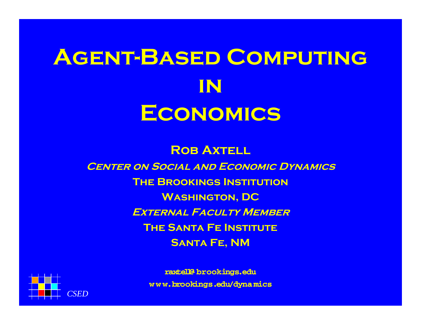# **Agent-Based Computing inEconomics**

**ROB AXTELL Center on Social and Economic Dynamics The Brookings InstitutionWashington, DC External Faculty MemberThe Santa Fe InstituteSanta Fe, NM**



**raxtell@ brookings.edu <sup>w</sup> <sup>w</sup> w.brookings.edu/dyna mics**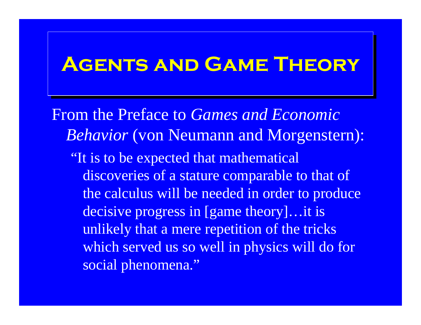#### **Agents and Game Theory Agents and Game Theory**

From the Preface to *Games and Economic Behavior* (von Neumann and Morgenstern): "It is to be expected that mathematical discoveries of a stature comparable to that of the calculus will be needed in order to produce decisive progress in [game theory]…it is unlikely that a mere repetition of the tricks which served us so well in physics will do for social phenomena."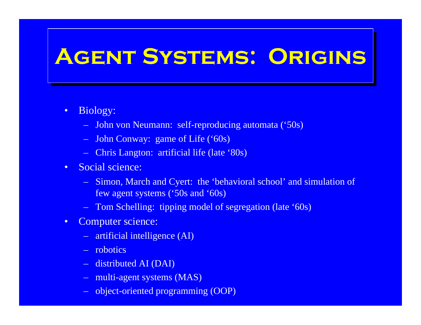# **Agent Systems: Origins Agent Systems: Origins**

- • Biology:
	- John von Neumann: self-reproducing automata ('50s)
	- John Conway: game of Life ('60s)
	- Chris Langton: artificial life (late '80s)
- $\bullet$  Social science:
	- Simon, March and Cyert: the 'behavioral school' and simulation of few agent systems ('50s and '60s)
	- –Tom Schelling: tipping model of segregation (late '60s)
- $\bullet$  Computer science:
	- artificial intelligence (AI)
	- robotics
	- distributed AI (DAI)
	- multi-agent systems (MAS)
	- object-oriented programming (OOP)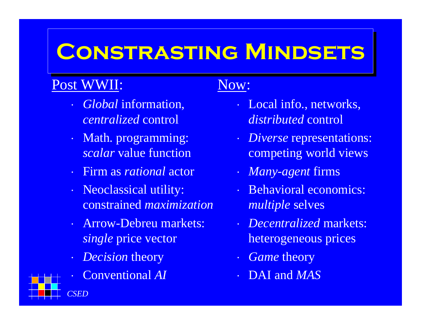### **Constrasting Mindsets Constrasting Mindsets**

#### Post WWII:

- ⋅ *Global* information, *centralized* control
- ⋅ Math. programming: *scalar* value function
- ⋅ Firm as *rational* actor
- ⋅ Neoclassical utility: constrained *maximization*
- ⋅ Arrow-Debreu markets: *single* price vector
- ⋅ *Decision* theory
- ⋅Conventional *AI*

#### Now:

- ⋅ Local info., networks, *distributed* control
- ⋅ *Diverse* representations: competing world views
- ⋅• *Many-agent* firms
- ⋅ Behavioral economics: *multiple* selves
- ⋅ *Decentralized* markets: heterogeneous prices
- ⋅ *Game* theory
- ⋅ DAI and *MAS*

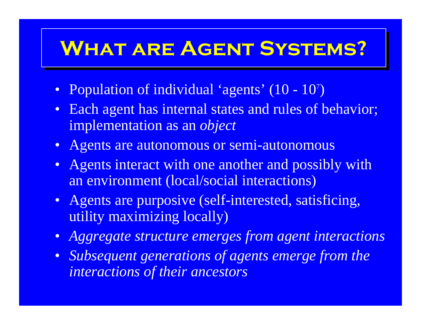## **What are Agent Systems? What are Agent Systems?**

- Population of individual 'agents' (10 10<sup>7</sup> )
- $\bullet$  Each agent has internal states and rules of behavior; implementation as an *object*
- Agents are autonomous or semi-autonomous
- $\bullet$ Agents interact with one another and possibly with an environment (local/social interactions)
- Agents are purposive (self-interested, satisficing, utility maximizing locally)
- $\bullet$ *Aggregate structure emerges from agent interactions*
- $\bullet$  *Subsequent generations of agents emerge from the interactions of their ancestors*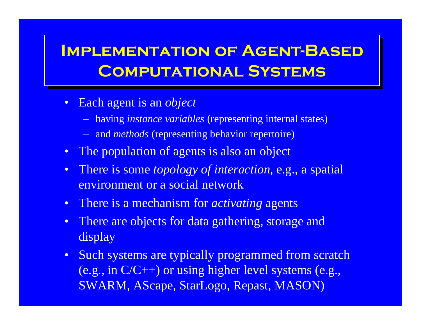#### **Implementation of Agent-Based Implementation of Agent-Based Computational Systems Computational Systems**

- Each agent is an *object*
	- having *instance variables* (representing internal states)
	- and *methods* (representing behavior repertoire)
- The population of agents is also an object
- There is some *topology of interaction*, e.g., a spatial environment or a social network
- There is a mechanism for *activating* agents
- $\bullet$ There are objects for data gathering, storage and display
- Such systems are typically programmed from scratch (e.g., in C/C++) or using higher level systems (e.g., SWARM, AScape, StarLogo, Repast, MASON)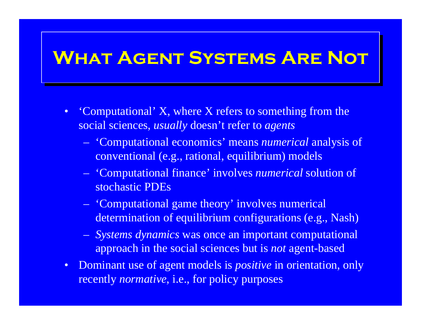#### **What Agent Systems Are Not What Agent Systems Are Not**

- $\bullet$  'Computational' X, where X refers to something from the social sciences, *usually* doesn't refer to *agents*
	- 'Computational economics' means *numerical* analysis of conventional (e.g., rational, equilibrium) models
	- 'Computational finance' involves *numerical* solution of stochastic PDEs
	- 'Computational game theory' involves numerical determination of equilibrium configurations (e.g., Nash)
	- *Systems dynamics* was once an important computational approach in the social sciences but is *not* agent-based
- Dominant use of agent models is *positive* in orientation, only recently *normative*, i.e., for policy purposes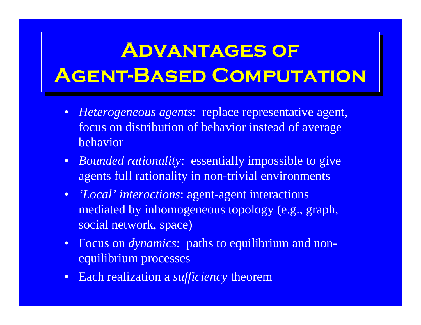## **Advantages of Advantages of Agent-Based Computation Agent-Based Computation**

- *Heterogeneous agents*: replace representative agent, focus on distribution of behavior instead of average behavior
- *Bounded rationality*: essentially impossible to give agents full rationality in non-trivial environments
- *'Local' interactions*: agent-agent interactions mediated by inhomogeneous topology (e.g., graph, social network, space)
- Focus on *dynamics*: paths to equilibrium and nonequilibrium processes
- Each realization a *sufficiency* theorem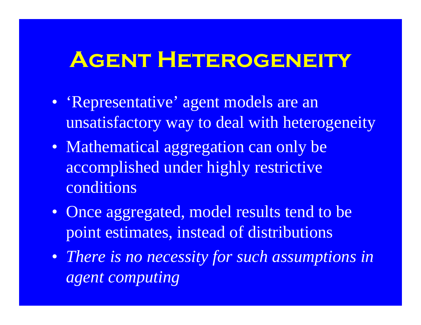### **Agent Heterogeneity**

- 'Representative' agent models are an unsatisfactory way to deal with heterogeneity
- Mathematical aggregation can only be accomplished under highly restrictive conditions
- Once aggregated, model results tend to be point estimates, instead of distributions
- *There is no necessity for such assumptions in agent computing*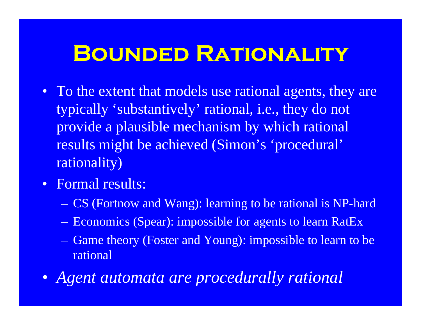#### **Bounded Rationality**

- To the extent that models use rational agents, they are typically 'substantively' rational, i.e., they do not provide a plausible mechanism by which rational results might be achieved (Simon's 'procedural' rationality)
- Formal results:
	- CS (Fortnow and Wang): learning to be rational is NP-hard
	- Economics (Spear): impossible for agents to learn RatEx
	- Game theory (Foster and Young): impossible to learn to be rational
- *Agent automata are procedurally rational*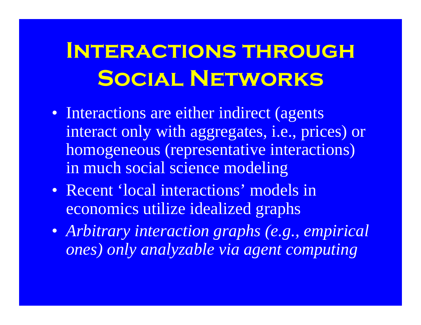# **Interactions through Social Networks**

- Interactions are either indirect (agents interact only with aggregates, i.e., prices) or homogeneous (representative interactions) in much social science modeling
- Recent 'local interactions' models in economics utilize idealized graphs
- *Arbitrary interaction graphs (e.g., empirical ones) only analyzable via agent computing*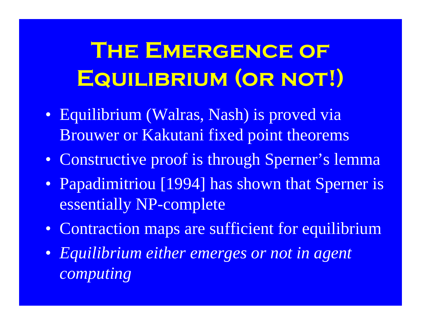# **THE EMERGENCE OF Equilibrium (or not!)**

- Equilibrium (Walras, Nash) is proved via Brouwer or Kakutani fixed point theorems
- Constructive proof is through Sperner's lemma
- Papadimitriou [1994] has shown that Sperner is essentially NP-complete
- Contraction maps are sufficient for equilibrium
- *Equilibrium either emerges or not in agent computing*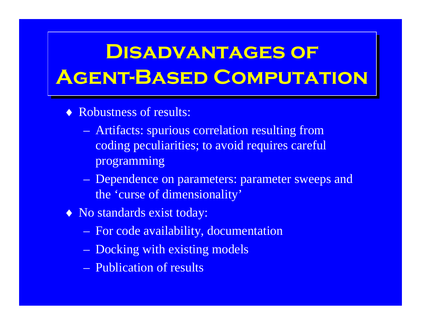### **Disadvantages of Disadvantages of Agent-Based Computation Agent-Based Computation**

- ♦ Robustness of results:
	- $\sim$  Artifacts: spurious correlation resulting from coding peculiarities; to avoid requires careful programming
	- <u>– Liberator Angelski, politik artistik (</u> Dependence on parameters: parameter sweeps and the 'curse of dimensionality'
- ♦ No standards exist today:
	- $\sim$ For code availability, documentation
	- $\sim$ Docking with existing models
	- Publication of results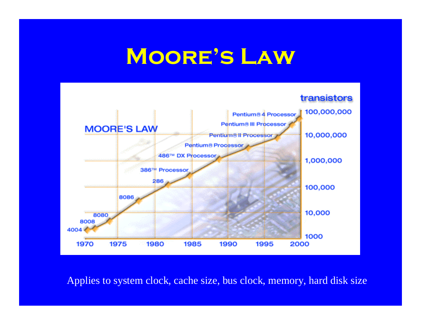### **Moore's Law**



Applies to system clock, cache size, bus clock, memory, hard disk size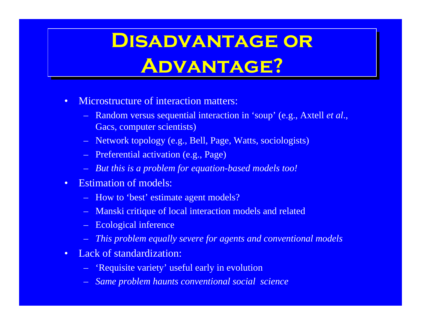## **Disadvantage or Disadvantage or Advantage? Advantage?**

- • Microstructure of interaction matters:
	- Random versus sequential interaction in 'soup' (e.g., Axtell *et al*., Gacs, computer scientists)
	- Network topology (e.g., Bell, Page, Watts, sociologists)
	- Preferential activation (e.g., Page)
	- *But this is a problem for equation-based models too!*
- • Estimation of models:
	- How to 'best' estimate agent models?
	- Manski critique of local interaction models and related
	- Ecological inference
	- –*This problem equally severe for agents and conventional models*
- • Lack of standardization:
	- 'Requisite variety' useful early in evolution
	- *Same problem haunts conventional social science*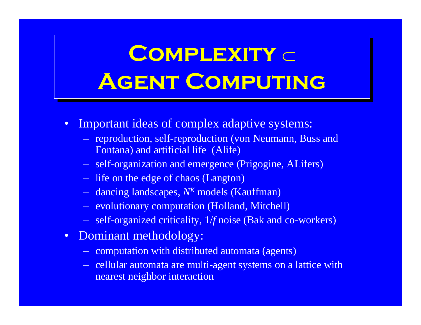# **Complexity**  ⊂**Complexity**  ⊂ **Agent Computing Agent Computing**

- $\bullet$  Important ideas of complex adaptive systems:
	- reproduction, self-reproduction (von Neumann, Buss and Fontana) and artificial life (Alife)
	- self-organization and emergence (Prigogine, ALifers)
	- life on the edge of chaos (Langton)
	- dancing landscapes, N<sup>K</sup> models (Kauffman)
	- evolutionary computation (Holland, Mitchell)
	- self-organized criticality, 1/*f* noise (Bak and co-workers)
- Dominant methodology:
	- computation with distributed automata (agents)
	- cellular automata are multi-agent systems on a lattice with nearest neighbor interaction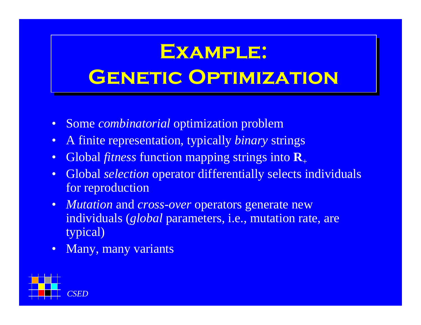## **Example: Example: Genetic Optimization Genetic Optimization**

- Some *combinatorial* optimization problem
- $\bullet$ A finite representation, typically *binary* strings
- •Global *fitness* function mapping strings into **R**<sup>+</sup>
- • Global *selection* operator differentially selects individuals for reproduction
- *Mutation* and *cross*-*over* operators generate new individuals (*global* parameters, i.e., mutation rate, are typical)
- $\bullet$ Many, many variants

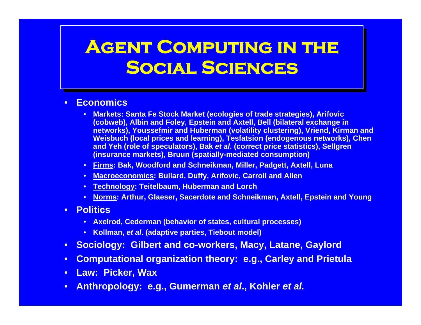#### **Agent Computing in the Agent Computing in the Social Sciences Social Sciences**

#### •**Economics**

- **Markets: Santa Fe Stock Market (ecologies of trade strategies), Arifovic (cobweb), Albin and Foley, Epstein and Axtell, Bell (bilateral exchange in networks), Youssefmir and Huberman (volatility clustering), Vriend, Kirman and Weisbuch (local prices and learning), Tesfatsion (endogenous networks), Chen and Yeh (role of speculators), Bak** *et al***. (correct price statistics), Sellgren (insurance markets), Bruun (spatially-mediated consumption)**
- **Firms: Bak, Woodford and Schneikman, Miller, Padgett, Axtell, Luna**
- **Macroeconomics: Bullard, Duffy, Arifovic, Carroll and Allen**
- **Technology: Teitelbaum, Huberman and Lorch**
- **Norms: Arthur, Glaeser, Sacerdote and Schneikman, Axtell, Epstein and Young**
- **Politics**
	- **Axelrod, Cederman (behavior of states, cultural processes)**
	- **Kollman,** *et al***. (adaptive parties, Tiebout model)**
- $\bullet$ **Sociology: Gilbert and co-workers, Macy, Latane, Gaylord**
- $\bullet$ **Computational organization theory: e.g., Carley and Prietula**
- **Law: Picker, Wax**
- **Anthropology: e.g., Gumerman** *et al***., Kohler** *et al.*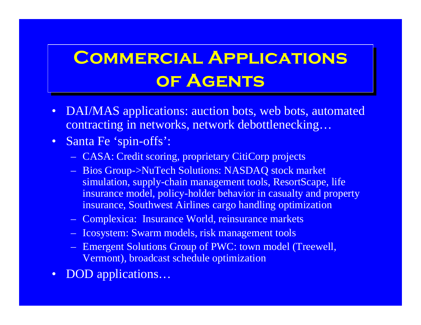#### **Commercial Applications Commercial Applications of Agents of Agents**

- DAI/MAS applications: auction bots, web bots, automated contracting in networks, network debottlenecking…
- Santa Fe 'spin-offs':
	- CASA: Credit scoring, proprietary CitiCorp projects
	- Bios Group->NuTech Solutions: NASDAQ stock market simulation, supply-chain management tools, ResortScape, life insurance model, policy-holder behavior in casualty and property insurance, Southwest Airlines cargo handling optimization
	- Complexica: Insurance World, reinsurance markets
	- Icosystem: Swarm models, risk management tools
	- Emergent Solutions Group of PWC: town model (Treewell, Vermont), broadcast schedule optimization
- $\bullet$ DOD applications…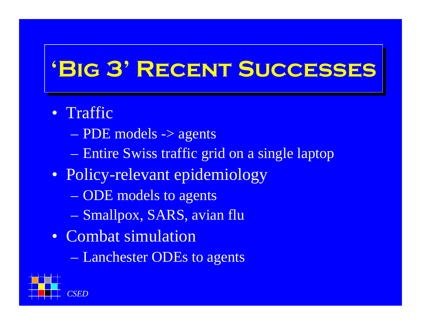## **'Big 3' Recent Successes 'Big 3' Recent Successes**

#### • Traffic

- PDE models -> agents
- Entire Swiss traffic grid on a single laptop
- Policy-relevant epidemiology
	- ODE models to agents
	- Smallpox, SARS, avian flu
- Combat simulation
	- Lanchester ODEs to agents

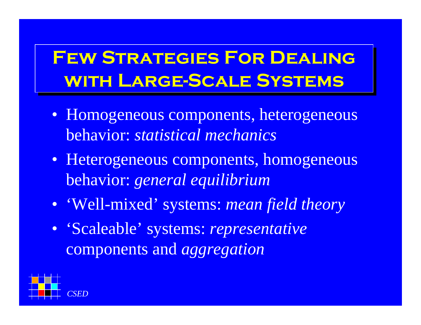#### **Few Strategies For Dealing Few Strategies For Dealing with Large-Scale Systems with Large-Scale Systems**

- Homogeneous components, heterogeneous behavior: *statistical mechanics*
- Heterogeneous components, homogeneous behavior: *general equilibrium*
- 'Well-mixed' systems: *mean field theory*
- 'Scaleable' systems: *representative* components and *aggregation*

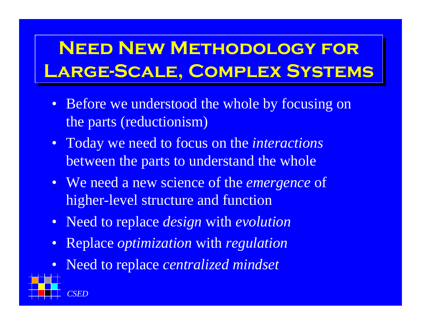### **Need New Methodology for Need New Methodology for Large-Scale, Complex Systems Large-Scale, Complex Systems**

- Before we understood the whole by focusing on the parts (reductionism)
- Today we need to focus on the *interactions* between the parts to understand the whole
- We need a new science of the *emergence* of higher-level structure and function
- Need to replace *design* with *evolution*
- •Replace *optimization* with *regulation*
- $\bullet$ Need to replace *centralized mindset*

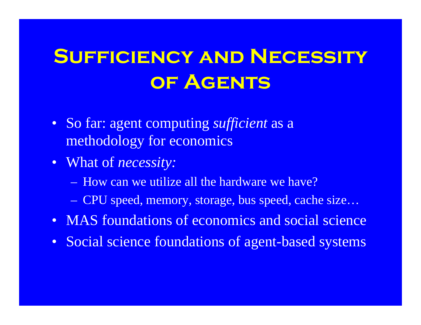## **Sufficiency and Necessity of Agents**

- So far: agent computing *sufficient* as a methodology for economics
- What of *necessity:*
	- How can we utilize all the hardware we have?
	- CPU speed, memory, storage, bus speed, cache size…
- MAS foundations of economics and social science
- Social science foundations of agent-based systems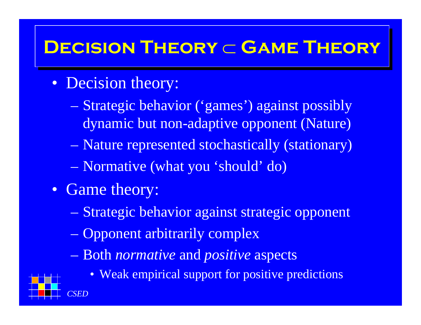#### $\mathsf{DECISION}$  THEORY ⊂ **GAME THEORY**

- Decision theory:
	- Strategic behavior ('games') against possibly dynamic but non-adaptive opponent (Nature)
	- Nature represented stochastically (stationary)
	- Normative (what you 'should' do)
- Game theory:
	- Strategic behavior against strategic opponent
	- Opponent arbitrarily complex
	- Both *normative* and *positive* aspects



• Weak empirical support for positive predictions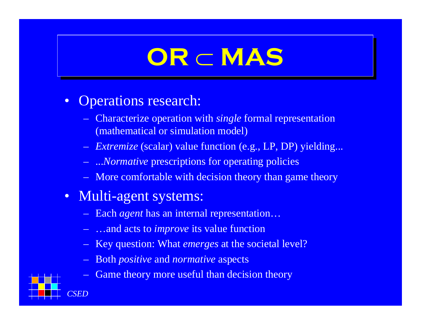# **OR OR** ⊂⊂**MAS MAS**

#### $\bullet$ Operations research:

- Characterize operation with *single* formal representation (mathematical or simulation model)
- *Extremize* (scalar) value function (e.g., LP, DP) yielding...
- ...*Normative* prescriptions for operating policies
- More comfortable with decision theory than game theory
- Multi-agent systems:
	- Each *agen<sup>t</sup>* has an internal representation…
	- …and acts to *improve* its value function
	- Key question: What *emerges* at the societal level?
	- Both *positive* and *normative* aspects
	- Game theory more useful than decision theory

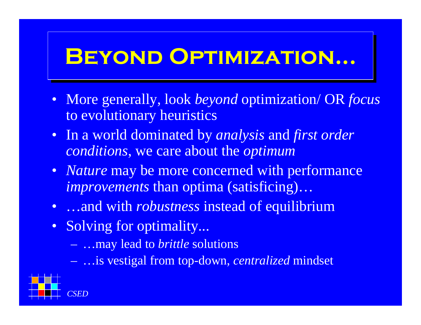## **BEYOND OPTIMIZATION...**

- More generally, look *beyond* optimization/ OR *focus* to evolutionary heuristics
- In a world dominated by *analysis* and *first order conditions*, we care about the *optimum*
- *Nature* may be more concerned with performance *improvements* than optima (satisficing)…
- …and with *robustness* instead of equilibrium
- Solving for optimality...
	- …may lead to *brittle* solutions
	- …is vestigal from top-down, *centralized* mindset

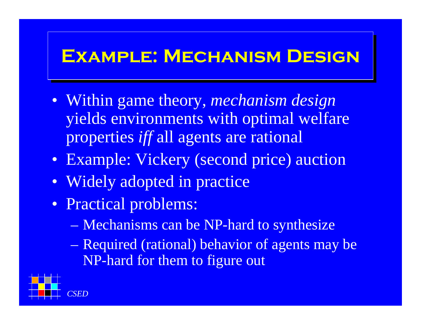#### **Example: Mechanism Design Example: Mechanism Design**

- Within game theory, *mechanism design* yields environments with optimal welfare properties *iff* all agents are rational
- Example: Vickery (second price) auction
- Widely adopted in practice
- Practical problems:
	- Mechanisms can be NP-hard to synthesize
	- Required (rational) behavior of agents may be NP-hard for them to figure out

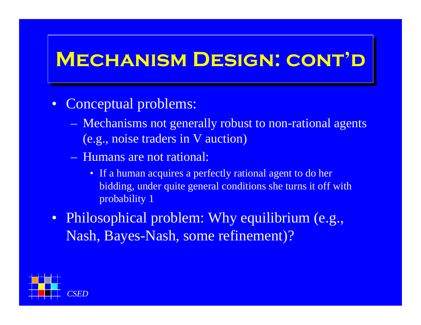#### **Mechanism Design: cont'd Mechanism Design: cont'd**

- $\bullet$  Conceptual problems:
	- Mechanisms not generally robust to non-rational agents (e.g., noise traders in V auction)
	- Humans are not rational:
		- If a human acquires a perfectly rational agent to do her bidding, under quite general conditions she turns it off with probability 1
- Philosophical problem: Why equilibrium (e.g., Nash, Bayes-Nash, some refinement)?

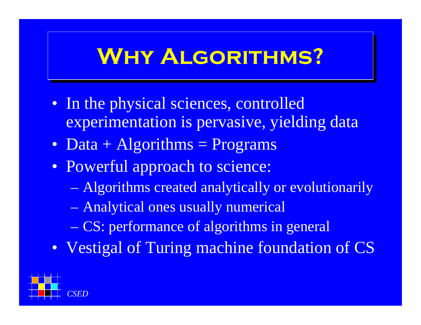## **Why Algorithms? Why Algorithms?**

- In the physical sciences, controlled experimentation is pervasive, yielding data
- Data + Algorithms = Programs
- Powerful approach to science:
	- Algorithms created analytically or evolutionarily
	- Analytical ones usually numerical
	- CS: performance of algorithms in general
- Vestigal of Turing machine foundation of CS

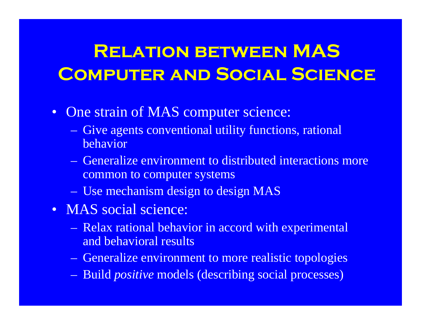#### **Relation between MAS Computer and Social Science**

- One strain of MAS computer science:
	- Give agents conventional utility functions, rational behavior
	- Generalize environment to distributed interactions more common to computer systems
	- Use mechanism design to design MAS
- MAS social science:
	- Relax rational behavior in accord with experimental and behavioral results
	- Generalize environment to more realistic topologies
	- Build *positive* models (describing social processes)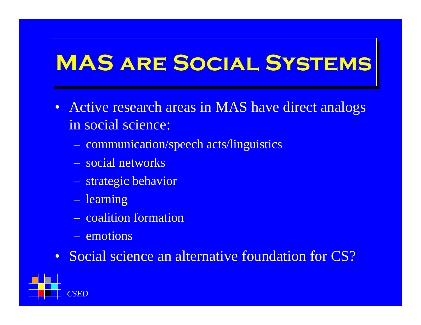## **MAS are Social Systems MAS are Social Systems**

- Active research areas in MAS have direct analogs in social science:
	- communication/speech acts/linguistics
	- social networks
	- strategic behavior
	- learning
	- coalition formation
	- emotions
- Social science an alternative foundation for CS?

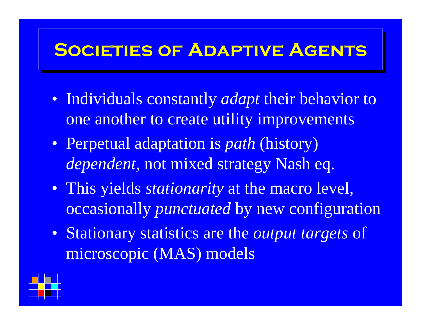#### **Societies of Adaptive Agents Societies of Adaptive Agents**

- Individuals constantly *adapt* their behavior to one another to create utility improvements
- Perpetual adaptation is *path* (history) *dependent*, not mixed strategy Nash eq.
- This yields *stationarity* at the macro level, occasionally *punctuated* by new configuration
- Stationary statistics are the *output targets* of microscopic (MAS) models

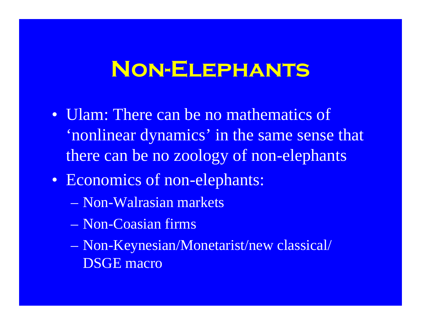### **Non-Elephants**

- Ulam: There can be no mathematics of 'nonlinear dynamics' in the same sense that there can be no zoology of non-elephants
- Economics of non-elephants:
	- Non-Walrasian markets
	- Non-Coasian firms
	- Non-Keynesian/Monetarist/new classical/ DSGE macro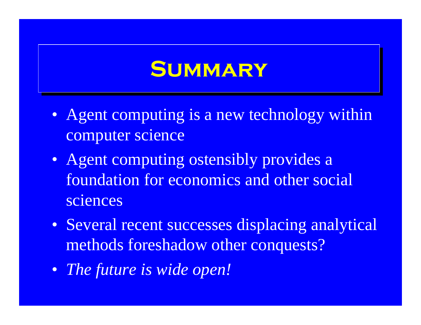### **Summary Summary**

- Agent computing is a new technology within computer science
- Agent computing ostensibly provides a foundation for economics and other social sciences
- Several recent successes displacing analytical methods foreshadow other conquests?
- *The future is wide open!*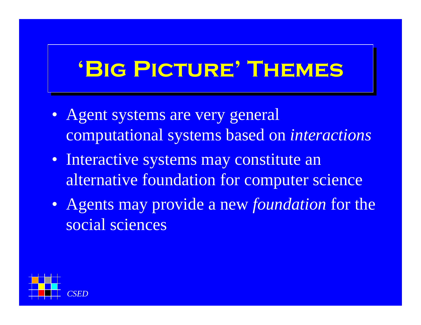## **'Big Picture' Themes 'Big Picture' Themes**

- Agent systems are very general computational systems based on *interactions*
- Interactive systems may constitute an alternative foundation for computer science
- Agents may provide a new *foundation* for the social sciences

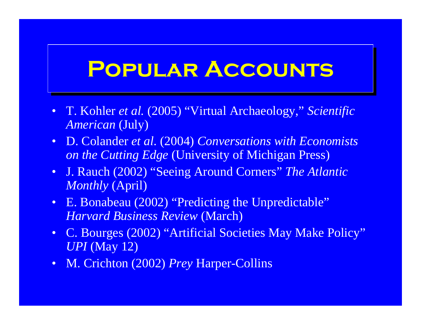#### **Popular Accounts Popular Accounts**

- T. Kohler *et al.* (2005) "Virtual Archaeology," *Scientific American* (July)
- D. Colander *et al.* (2004) *Conversations with Economists on the Cutting Edge* (University of Michigan Press)
- J. Rauch (2002) "Seeing Around Corners" *The Atlantic Monthly* (April)
- E. Bonabeau (2002) "Predicting the Unpredictable" *Harvard Business Review* (March)
- C. Bourges (2002) "Artificial Societies May Make Policy" *UPI* (May 12)
- M. Crichton (2002) *Prey* Harper-Collins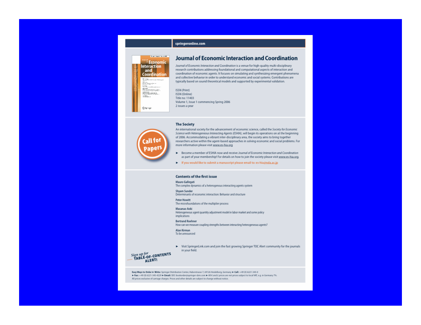

#### **Journal of Economic Interaction and Coordination**

Journal of Economic Interaction and Coordination is a venue for high-quality multi-disciplinary research contributions addressing foundational and computational aspects of interaction and coordination of economic agents. It focuses on simulating and synthesizing emergent phenomena and collective behavior in order to understand economic and social systems. Contributions are typically based on sound theoretical models and supported by experimental validation.

ISSN (Print) ISSN (Online) Title no: 11403 Volume 1, Issue 1 commencing Spring 2006 2 issues a year

#### **The Society**

springeronline.com



An international society for the advancement of economic science, called the Society for Economic Science with Heterogeneous Interacting Agents (ESHIA), will begin its operations on at the beginning of 2006. Accommodating a vibrant inter-disciplinary area, the society aims to bring together researchers active within the agent-based approaches in solving economic and social problems. For more information please visit www.es-hia.org

- > Become a member of ESHIA now and receive Journal of Economic Interaction and Coordination as part of your membership! For details on how to join the society please visit www.es-hia.org.
- IF If you would like to submit a manuscript please email to: es-hia@nda.ac.jp

#### **Contents of the first issue**

#### Mauro Gallegati

The complex dynamics of a heterogenous interacting agents system

Shyam Sunder Determinants of economic interaction: Behavior and structure

**Peter Howitt** The microfoundations of the multiplier process

#### Masanao Aoki

Heterogeneous agent quantity adjustment model in labor market and some policy implications

**Bertrand Roehner** 

How can we measure coupling strengths between interacting heterogeneous agents?

Alan Kirman To be announced

> Visit SpringerLink.com and join the fast growing Springer TOC Alert community for the journals in your field.

Sign up for<br>- TABLE-OF-CONTENTS<br>- TABLE-OF-CONTENTS

Easy Ways to Order > Write: Springer Distribution Center, Haberstrasse 7, 69126 Heidelberg, Germany > Call: +49 (0) 6221-345-0 Fax: +49 (0) 6221-345-4229 F Email: SDC-bookorder@springer-sbm.com F All E and E prices are net prices subject to local VAT, e.g. in Germany 7%. All prices exclusive of carriage charges. Prices and other details are subject to change without notice.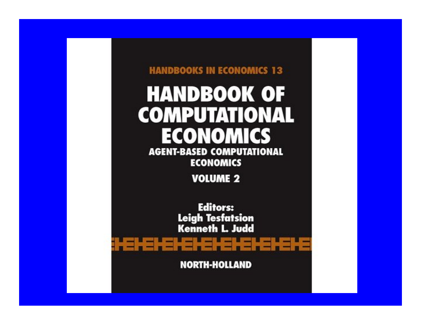#### **HANDBOOKS IN ECONOMICS 13 HANDBOOK OF COMPUTATIONAL ECONOMICS AGENT-BASED COMPUTATIONAL ECONOMICS VOLUME 2 Editors:**

**Leigh Tesfatsion<br>Kenneth L. Judd** 

**NORTH-HOLLAND** 

<u> : EIEIEIEIEIEIEIEIEIEIE</u>